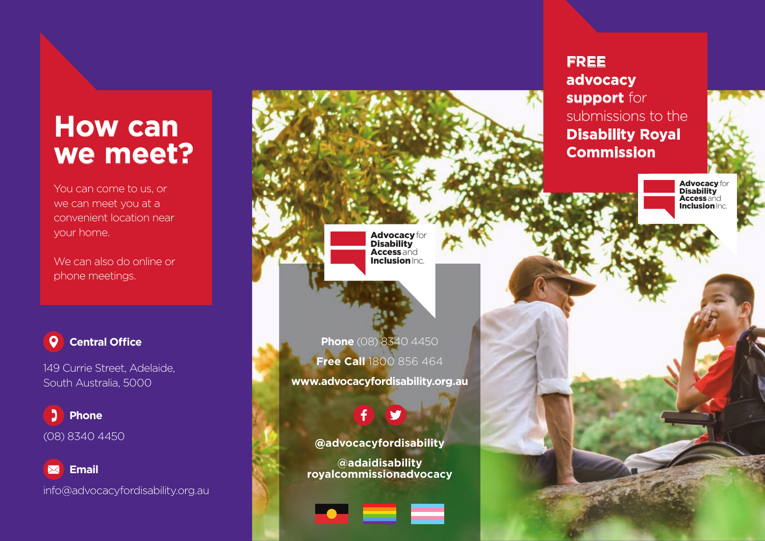## **How can we meet?**

You can come to us, or we can meet you at a convenient location near your home.

We can also do online or phone meetings.

#### **0 Central Office**

149 Currie Street, Adelaide, South Australia, 5000

Ľ. **Phone** (08) 8340 4450

 **Email** info@advocacyfordisability.org.au

#### **FREE advocacy support** for submissions to the **Disability Royal Commission**

Advocacy for Disability Accessand **Inclusion** Inc.

Advocacy for Disability **Access** and **Inclusion** Inc.

**Phone** (08) 8340 4450 **Free Call** 1800 856 464 **www.advocacyfordisability.org.au**

**@advocacyfordisability**

**@adaidisability royalcommissionadvocacy**